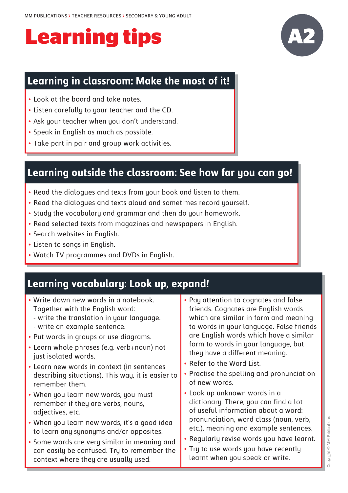#### **Learning in classroom: Make the most of it!**

- Look at the board and take notes.
- Listen carefully to your teacher and the CD.
- Ask your teacher when you don't understand.
- Speak in English as much as possible.
- Take part in pair and group work activities.

#### **Learning outside the classroom: See how far you can go!**

- Read the dialogues and texts from your book and listen to them.
- Read the dialogues and texts aloud and sometimes record yourself.
- Study the vocabulary and grammar and then do your homework.
- Read selected texts from magazines and newspapers in English.
- Search websites in English.
- Listen to songs in English.
- Watch TV programmes and DVDs in English.

### **Learning vocabulary: Look up, expand!**

| • Write down new words in a notebook.             | • Pay attention to cognates and false     |
|---------------------------------------------------|-------------------------------------------|
| Together with the English word:                   | friends. Cognates are English words       |
| - write the translation in your language.         | which are similar in form and meaning     |
| - write an example sentence.                      | to words in your language. False friends  |
| • Put words in groups or use diagrams.            | are English words which have a similar    |
| • Learn whole phrases (e.g. verb+noun) not        | form to words in your language, but       |
| just isolated words.                              | they have a different meaning.            |
| • Learn new words in context (in sentences        | • Refer to the Word List.                 |
| describing situations). This way, it is easier to | • Practise the spelling and pronunciation |
| remember them.                                    | of new words.                             |
| • When you learn new words, you must              | • Look up unknown words in a              |
| remember if they are verbs, nouns,                | dictionary. There, you can find a lot     |
| adjectives, etc.                                  | of useful information about a word:       |
| • When you learn new words, it's a good idea      | pronunciation, word class (noun, verb,    |
| to learn any synonyms and/or opposites.           | etc.), meaning and example sentences.     |
| • Some words are very similar in meaning and      | . Regularly revise words you have learnt. |
| can easily be confused. Try to remember the       | • Try to use words you have recently      |
| context where they are usually used.              | learnt when you speak or write.           |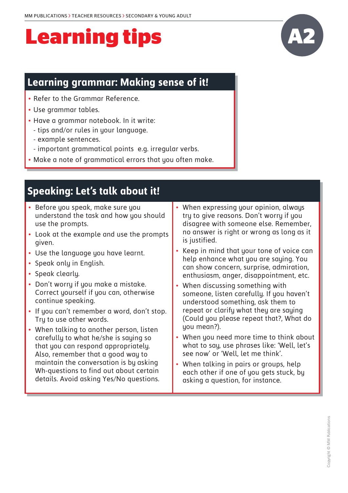### **Learning grammar: Making sense of it!**

- Refer to the Grammar Reference.
- Use grammar tables.
- Have a grammar notebook. In it write:
	- tips and/or rules in your language.
	- example sentences.
	- important grammatical points e.g. irregular verbs.
- Make a note of grammatical errors that you often make.

### **Speaking: Let's talk about it!**

- Before you speak, make sure you understand the task and how you should use the prompts.
- Look at the example and use the prompts given.
- Use the language you have learnt.
- Speak only in English.
- Speak clearly.
- Don't worry if you make a mistake. Correct yourself if you can, otherwise continue speaking.
- If you can't remember a word, don't stop. Try to use other words.
- When talking to another person, listen carefully to what he/she is saying so that you can respond appropriately. Also, remember that a good way to maintain the conversation is by asking Wh-questions to find out about certain details. Avoid asking Yes/No questions.
- When expressing your opinion, always try to give reasons. Don't worry if you disagree with someone else. Remember, no answer is right or wrong as long as it is justified.
- Keep in mind that your tone of voice can help enhance what you are saying. You can show concern, surprise, admiration, enthusiasm, anger, disappointment, etc.
- When discussing something with someone, listen carefully. If you haven't understood something, ask them to repeat or clarify what they are saying (Could you please repeat that?, What do you mean?).
- When you need more time to think about what to say, use phrases like: 'Well, let's see now' or 'Well, let me think'.
- When talking in pairs or groups, help each other if one of you gets stuck, by asking a question, for instance.

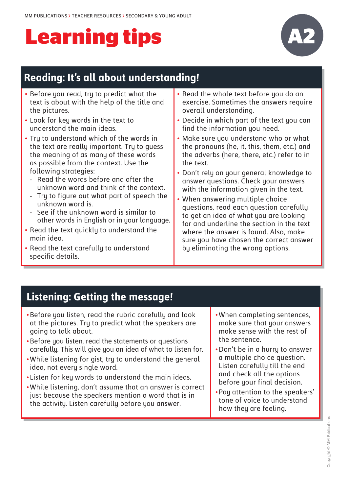

## **Reading: It's all about understanding!**

- • Before you read, try to predict what the text is about with the help of the title and the pictures.
- Look for key words in the text to understand the main ideas.
- Tru to understand which of the words in the text are really important. Try to guess the meaning of as many of these words as possible from the context. Use the following strategies:
	- Read the words before and after the unknown word and think of the context.
	- Try to figure out what part of speech the unknown word is.
	- See if the unknown word is similar to other words in English or in your language.
- Read the text quickly to understand the main idea.
- Read the text carefully to understand specific details.
- Read the whole text before you do an exercise. Sometimes the answers require overall understanding.
- Decide in which part of the text you can find the information you need.
- Make sure you understand who or what the pronouns (he, it, this, them, etc.) and the adverbs (here, there, etc.) refer to in the text.
- Don't rely on your general knowledge to answer questions. Check your answers with the information given in the text.
- When answering multiple choice questions, read each question carefully to get an idea of what you are looking for and underline the section in the text where the answer is found. Also, make sure you have chosen the correct answer by eliminating the wrong options.

### **Listening: Getting the message!**

- • Before you listen, read the rubric carefully and look at the pictures. Try to predict what the speakers are going to talk about.
- Before you listen, read the statements or questions carefully. This will give you an idea of what to listen for.
- • While listening for gist, try to understand the general idea, not every single word.
- Listen for key words to understand the main ideas.
- • While listening, don't assume that an answer is correct just because the speakers mention a word that is in the activity. Listen carefully before you answer.
- When completing sentences, make sure that your answers make sense with the rest of the sentence.
- Don't be in a hurru to answer a multiple choice question. Listen carefully till the end and check all the options before your final decision.
- • Pay attention to the speakers' tone of voice to understand how they are feeling.